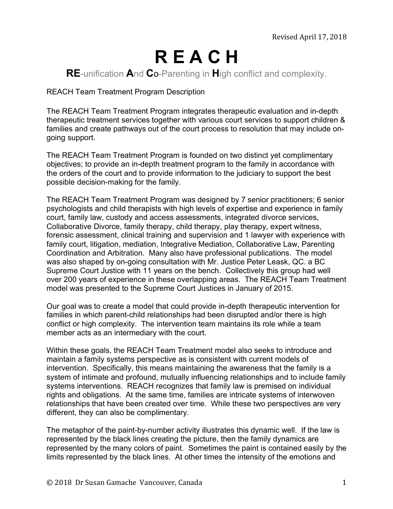# **R E A C H**

# **RE**-unification **A**nd **C**o-Parenting in **H**igh conflict and complexity.

REACH Team Treatment Program Description

The REACH Team Treatment Program integrates therapeutic evaluation and in-depth therapeutic treatment services together with various court services to support children & families and create pathways out of the court process to resolution that may include ongoing support.

The REACH Team Treatment Program is founded on two distinct yet complimentary objectives; to provide an in-depth treatment program to the family in accordance with the orders of the court and to provide information to the judiciary to support the best possible decision-making for the family.

The REACH Team Treatment Program was designed by 7 senior practitioners; 6 senior psychologists and child therapists with high levels of expertise and experience in family court, family law, custody and access assessments, integrated divorce services, Collaborative Divorce, family therapy, child therapy, play therapy, expert witness, forensic assessment, clinical training and supervision and 1 lawyer with experience with family court, litigation, mediation, Integrative Mediation, Collaborative Law, Parenting Coordination and Arbitration. Many also have professional publications. The model was also shaped by on-going consultation with Mr. Justice Peter Leask, QC. a BC Supreme Court Justice with 11 years on the bench. Collectively this group had well over 200 years of experience in these overlapping areas. The REACH Team Treatment model was presented to the Supreme Court Justices in January of 2015.

Our goal was to create a model that could provide in-depth therapeutic intervention for families in which parent-child relationships had been disrupted and/or there is high conflict or high complexity. The intervention team maintains its role while a team member acts as an intermediary with the court.

Within these goals, the REACH Team Treatment model also seeks to introduce and maintain a family systems perspective as is consistent with current models of intervention. Specifically, this means maintaining the awareness that the family is a system of intimate and profound, mutually influencing relationships and to include family systems interventions. REACH recognizes that family law is premised on individual rights and obligations. At the same time, families are intricate systems of interwoven relationships that have been created over time. While these two perspectives are very different, they can also be complimentary.

The metaphor of the paint-by-number activity illustrates this dynamic well. If the law is represented by the black lines creating the picture, then the family dynamics are represented by the many colors of paint. Sometimes the paint is contained easily by the limits represented by the black lines. At other times the intensity of the emotions and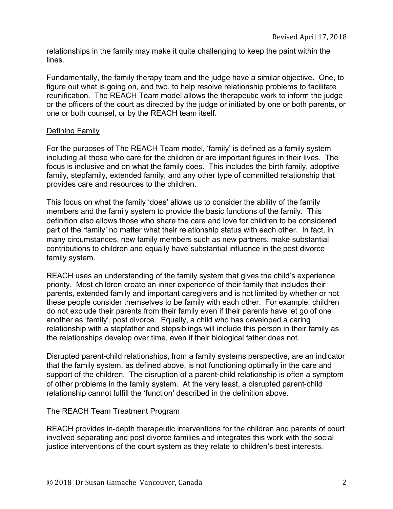relationships in the family may make it quite challenging to keep the paint within the lines.

Fundamentally, the family therapy team and the judge have a similar objective. One, to figure out what is going on, and two, to help resolve relationship problems to facilitate reunification. The REACH Team model allows the therapeutic work to inform the judge or the officers of the court as directed by the judge or initiated by one or both parents, or one or both counsel, or by the REACH team itself.

## Defining Family

For the purposes of The REACH Team model, 'family' is defined as a family system including all those who care for the children or are important figures in their lives. The focus is inclusive and on what the family does. This includes the birth family, adoptive family, stepfamily, extended family, and any other type of committed relationship that provides care and resources to the children.

This focus on what the family 'does' allows us to consider the ability of the family members and the family system to provide the basic functions of the family. This definition also allows those who share the care and love for children to be considered part of the 'family' no matter what their relationship status with each other. In fact, in many circumstances, new family members such as new partners, make substantial contributions to children and equally have substantial influence in the post divorce family system.

REACH uses an understanding of the family system that gives the child's experience priority. Most children create an inner experience of their family that includes their parents, extended family and important caregivers and is not limited by whether or not these people consider themselves to be family with each other. For example, children do not exclude their parents from their family even if their parents have let go of one another as 'family', post divorce. Equally, a child who has developed a caring relationship with a stepfather and stepsiblings will include this person in their family as the relationships develop over time, even if their biological father does not.

Disrupted parent-child relationships, from a family systems perspective, are an indicator that the family system, as defined above, is not functioning optimally in the care and support of the children. The disruption of a parent-child relationship is often a symptom of other problems in the family system. At the very least, a disrupted parent-child relationship cannot fulfill the 'function' described in the definition above.

### The REACH Team Treatment Program

REACH provides in-depth therapeutic interventions for the children and parents of court involved separating and post divorce families and integrates this work with the social justice interventions of the court system as they relate to children's best interests.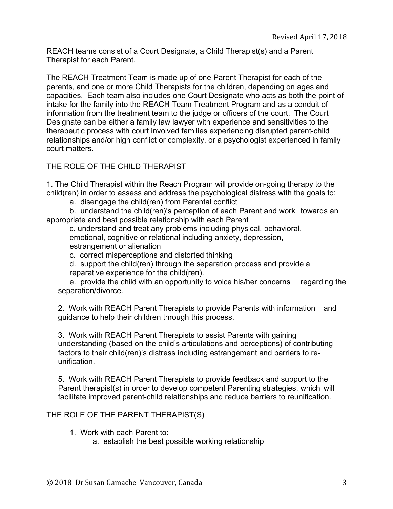REACH teams consist of a Court Designate, a Child Therapist(s) and a Parent Therapist for each Parent.

The REACH Treatment Team is made up of one Parent Therapist for each of the parents, and one or more Child Therapists for the children, depending on ages and capacities. Each team also includes one Court Designate who acts as both the point of intake for the family into the REACH Team Treatment Program and as a conduit of information from the treatment team to the judge or officers of the court. The Court Designate can be either a family law lawyer with experience and sensitivities to the therapeutic process with court involved families experiencing disrupted parent-child relationships and/or high conflict or complexity, or a psychologist experienced in family court matters.

THE ROLE OF THE CHILD THERAPIST

1. The Child Therapist within the Reach Program will provide on-going therapy to the child(ren) in order to assess and address the psychological distress with the goals to:

a. disengage the child(ren) from Parental conflict

b. understand the child(ren)'s perception of each Parent and work towards an appropriate and best possible relationship with each Parent

c. understand and treat any problems including physical, behavioral, emotional, cognitive or relational including anxiety, depression, estrangement or alienation

c. correct misperceptions and distorted thinking

d. support the child(ren) through the separation process and provide a reparative experience for the child(ren).

e. provide the child with an opportunity to voice his/her concerns regarding the separation/divorce.

2. Work with REACH Parent Therapists to provide Parents with information and guidance to help their children through this process.

3. Work with REACH Parent Therapists to assist Parents with gaining understanding (based on the child's articulations and perceptions) of contributing factors to their child(ren)'s distress including estrangement and barriers to reunification.

5. Work with REACH Parent Therapists to provide feedback and support to the Parent therapist(s) in order to develop competent Parenting strategies, which will facilitate improved parent-child relationships and reduce barriers to reunification.

# THE ROLE OF THE PARENT THERAPIST(S)

1. Work with each Parent to:

a. establish the best possible working relationship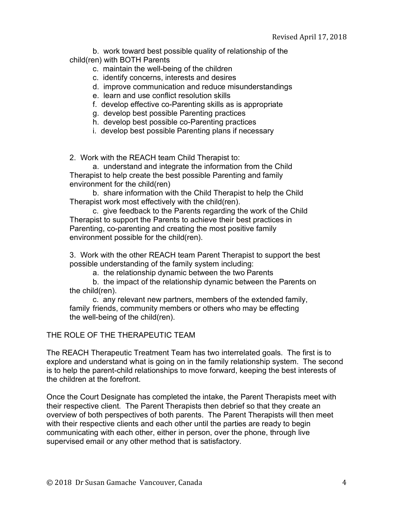b. work toward best possible quality of relationship of the child(ren) with BOTH Parents

- c. maintain the well-being of the children
- c. identify concerns, interests and desires
- d. improve communication and reduce misunderstandings
- e. learn and use conflict resolution skills
- f. develop effective co-Parenting skills as is appropriate
- g. develop best possible Parenting practices
- h. develop best possible co-Parenting practices
- i. develop best possible Parenting plans if necessary

2. Work with the REACH team Child Therapist to:

a. understand and integrate the information from the Child Therapist to help create the best possible Parenting and family environment for the child(ren)

b. share information with the Child Therapist to help the Child Therapist work most effectively with the child(ren).

c. give feedback to the Parents regarding the work of the Child Therapist to support the Parents to achieve their best practices in Parenting, co-parenting and creating the most positive family environment possible for the child(ren).

3. Work with the other REACH team Parent Therapist to support the best possible understanding of the family system including:

a. the relationship dynamic between the two Parents

b. the impact of the relationship dynamic between the Parents on the child(ren).

c. any relevant new partners, members of the extended family, family friends, community members or others who may be effecting the well-being of the child(ren).

### THE ROLE OF THE THERAPEUTIC TEAM

The REACH Therapeutic Treatment Team has two interrelated goals. The first is to explore and understand what is going on in the family relationship system. The second is to help the parent-child relationships to move forward, keeping the best interests of the children at the forefront.

Once the Court Designate has completed the intake, the Parent Therapists meet with their respective client. The Parent Therapists then debrief so that they create an overview of both perspectives of both parents. The Parent Therapists will then meet with their respective clients and each other until the parties are ready to begin communicating with each other, either in person, over the phone, through live supervised email or any other method that is satisfactory.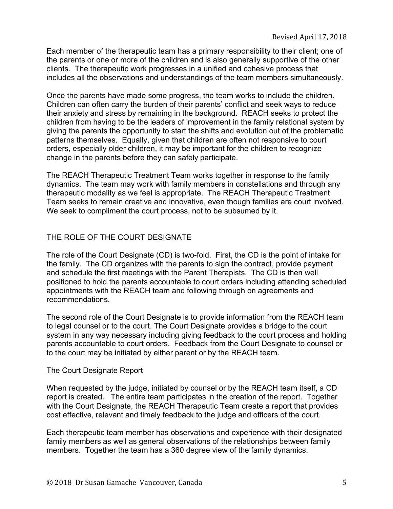Each member of the therapeutic team has a primary responsibility to their client; one of the parents or one or more of the children and is also generally supportive of the other clients. The therapeutic work progresses in a unified and cohesive process that includes all the observations and understandings of the team members simultaneously.

Once the parents have made some progress, the team works to include the children. Children can often carry the burden of their parents' conflict and seek ways to reduce their anxiety and stress by remaining in the background. REACH seeks to protect the children from having to be the leaders of improvement in the family relational system by giving the parents the opportunity to start the shifts and evolution out of the problematic patterns themselves. Equally, given that children are often not responsive to court orders, especially older children, it may be important for the children to recognize change in the parents before they can safely participate.

The REACH Therapeutic Treatment Team works together in response to the family dynamics. The team may work with family members in constellations and through any therapeutic modality as we feel is appropriate. The REACH Therapeutic Treatment Team seeks to remain creative and innovative, even though families are court involved. We seek to compliment the court process, not to be subsumed by it.

# THE ROLE OF THE COURT DESIGNATE

The role of the Court Designate (CD) is two-fold. First, the CD is the point of intake for the family. The CD organizes with the parents to sign the contract, provide payment and schedule the first meetings with the Parent Therapists. The CD is then well positioned to hold the parents accountable to court orders including attending scheduled appointments with the REACH team and following through on agreements and recommendations.

The second role of the Court Designate is to provide information from the REACH team to legal counsel or to the court. The Court Designate provides a bridge to the court system in any way necessary including giving feedback to the court process and holding parents accountable to court orders. Feedback from the Court Designate to counsel or to the court may be initiated by either parent or by the REACH team.

### The Court Designate Report

When requested by the judge, initiated by counsel or by the REACH team itself, a CD report is created. The entire team participates in the creation of the report. Together with the Court Designate, the REACH Therapeutic Team create a report that provides cost effective, relevant and timely feedback to the judge and officers of the court.

Each therapeutic team member has observations and experience with their designated family members as well as general observations of the relationships between family members. Together the team has a 360 degree view of the family dynamics.